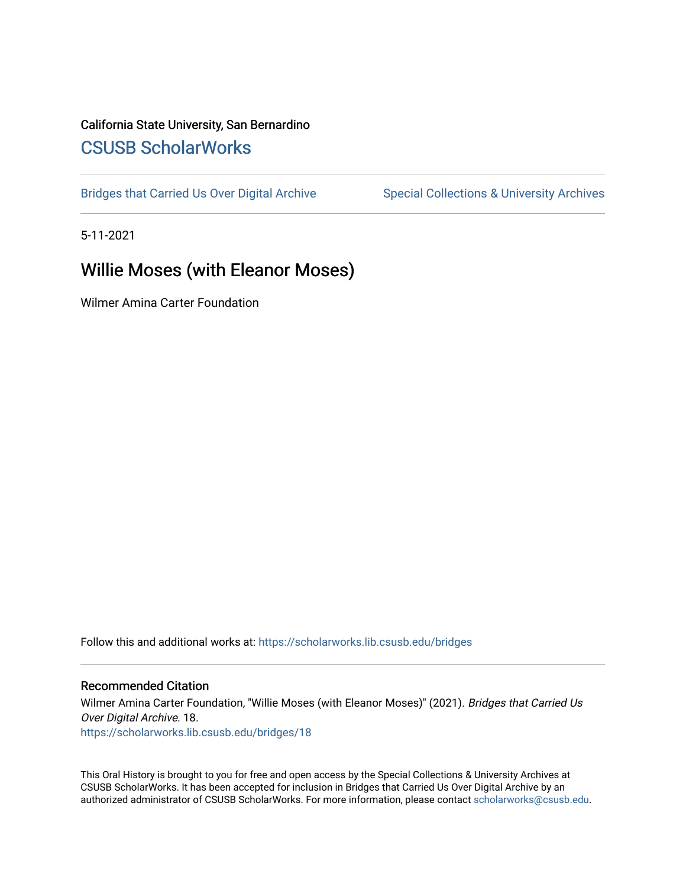# California State University, San Bernardino [CSUSB ScholarWorks](https://scholarworks.lib.csusb.edu/)

[Bridges that Carried Us Over Digital Archive](https://scholarworks.lib.csusb.edu/bridges) Special Collections & University Archives

5-11-2021

# Willie Moses (with Eleanor Moses)

Wilmer Amina Carter Foundation

Follow this and additional works at: [https://scholarworks.lib.csusb.edu/bridges](https://scholarworks.lib.csusb.edu/bridges?utm_source=scholarworks.lib.csusb.edu%2Fbridges%2F18&utm_medium=PDF&utm_campaign=PDFCoverPages) 

#### Recommended Citation

Wilmer Amina Carter Foundation, "Willie Moses (with Eleanor Moses)" (2021). Bridges that Carried Us Over Digital Archive. 18. [https://scholarworks.lib.csusb.edu/bridges/18](https://scholarworks.lib.csusb.edu/bridges/18?utm_source=scholarworks.lib.csusb.edu%2Fbridges%2F18&utm_medium=PDF&utm_campaign=PDFCoverPages)

This Oral History is brought to you for free and open access by the Special Collections & University Archives at CSUSB ScholarWorks. It has been accepted for inclusion in Bridges that Carried Us Over Digital Archive by an authorized administrator of CSUSB ScholarWorks. For more information, please contact [scholarworks@csusb.edu.](mailto:scholarworks@csusb.edu)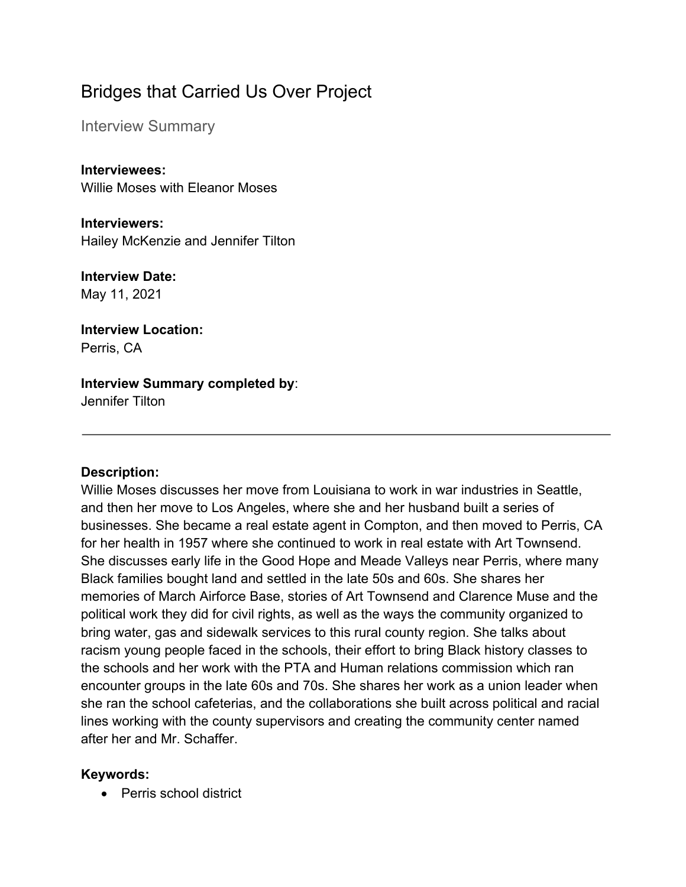# Bridges that Carried Us Over Project

Interview Summary

**Interviewees:** Willie Moses with Eleanor Moses

**Interviewers:** Hailey McKenzie and Jennifer Tilton

**Interview Date:** May 11, 2021

**Interview Location:** Perris, CA

# **Interview Summary completed by**:

Jennifer Tilton

# **Description:**

Willie Moses discusses her move from Louisiana to work in war industries in Seattle, and then her move to Los Angeles, where she and her husband built a series of businesses. She became a real estate agent in Compton, and then moved to Perris, CA for her health in 1957 where she continued to work in real estate with Art Townsend. She discusses early life in the Good Hope and Meade Valleys near Perris, where many Black families bought land and settled in the late 50s and 60s. She shares her memories of March Airforce Base, stories of Art Townsend and Clarence Muse and the political work they did for civil rights, as well as the ways the community organized to bring water, gas and sidewalk services to this rural county region. She talks about racism young people faced in the schools, their effort to bring Black history classes to the schools and her work with the PTA and Human relations commission which ran encounter groups in the late 60s and 70s. She shares her work as a union leader when she ran the school cafeterias, and the collaborations she built across political and racial lines working with the county supervisors and creating the community center named after her and Mr. Schaffer.

# **Keywords:**

• Perris school district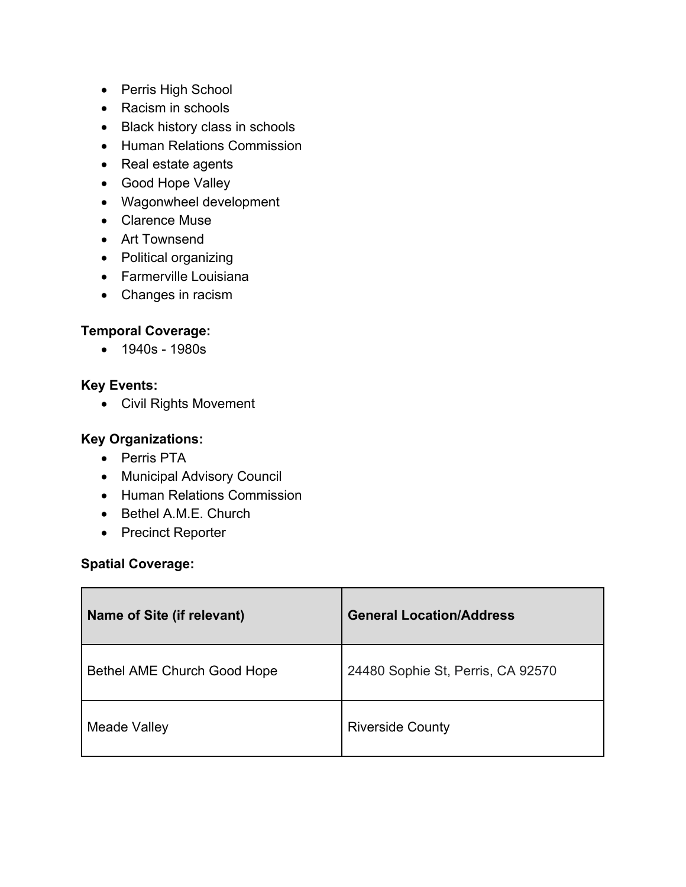- Perris High School
- Racism in schools
- Black history class in schools
- Human Relations Commission
- Real estate agents
- Good Hope Valley
- Wagonwheel development
- Clarence Muse
- Art Townsend
- Political organizing
- Farmerville Louisiana
- Changes in racism

# **Temporal Coverage:**

• 1940s - 1980s

# **Key Events:**

• Civil Rights Movement

# **Key Organizations:**

- Perris PTA
- Municipal Advisory Council
- Human Relations Commission
- Bethel A.M.E. Church
- Precinct Reporter

# **Spatial Coverage:**

| Name of Site (if relevant)  | <b>General Location/Address</b>   |
|-----------------------------|-----------------------------------|
| Bethel AME Church Good Hope | 24480 Sophie St, Perris, CA 92570 |
| Meade Valley                | <b>Riverside County</b>           |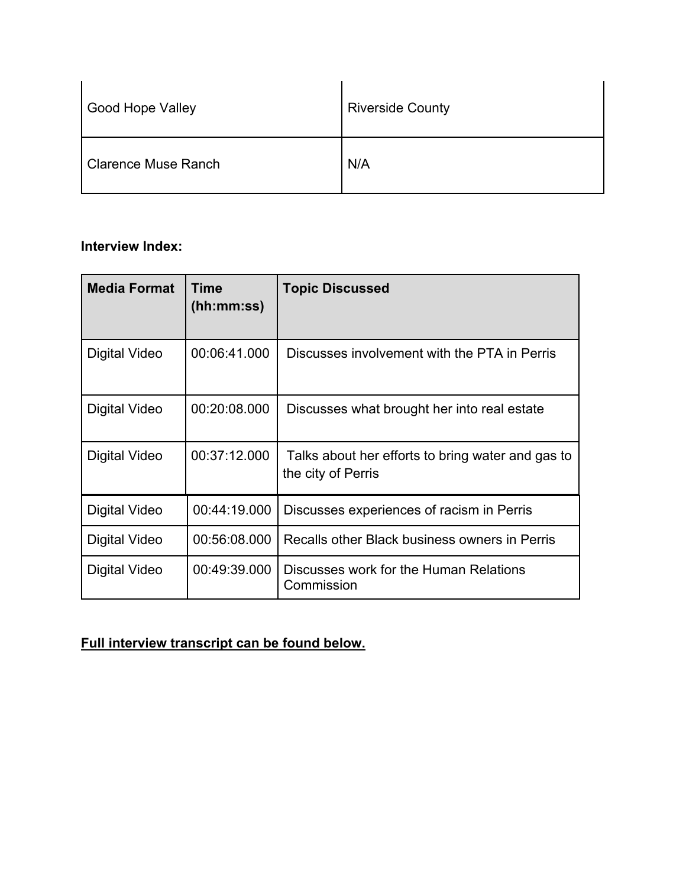| <b>Good Hope Valley</b>    | <b>Riverside County</b> |
|----------------------------|-------------------------|
| <b>Clarence Muse Ranch</b> | N/A                     |

# **Interview Index:**

| <b>Media Format</b> | Time<br>(hh:mm:ss) | <b>Topic Discussed</b>                                                  |
|---------------------|--------------------|-------------------------------------------------------------------------|
| Digital Video       | 00:06:41.000       | Discusses involvement with the PTA in Perris                            |
| Digital Video       | 00:20:08.000       | Discusses what brought her into real estate                             |
| Digital Video       | 00:37:12.000       | Talks about her efforts to bring water and gas to<br>the city of Perris |
| Digital Video       | 00:44:19.000       | Discusses experiences of racism in Perris                               |
| Digital Video       | 00:56:08.000       | Recalls other Black business owners in Perris                           |
| Digital Video       | 00:49:39.000       | Discusses work for the Human Relations<br>Commission                    |

# **Full interview transcript can be found below.**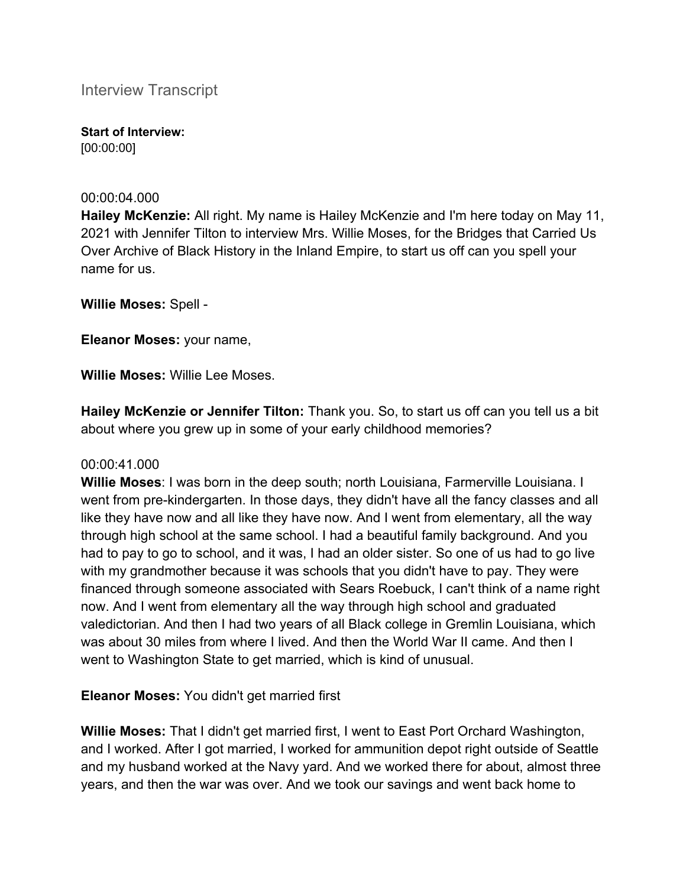Interview Transcript

**Start of Interview:** [00:00:00]

#### 00:00:04.000

**Hailey McKenzie:** All right. My name is Hailey McKenzie and I'm here today on May 11, 2021 with Jennifer Tilton to interview Mrs. Willie Moses, for the Bridges that Carried Us Over Archive of Black History in the Inland Empire, to start us off can you spell your name for us.

**Willie Moses:** Spell -

**Eleanor Moses:** your name,

**Willie Moses:** Willie Lee Moses.

**Hailey McKenzie or Jennifer Tilton:** Thank you. So, to start us off can you tell us a bit about where you grew up in some of your early childhood memories?

# 00:00:41.000

**Willie Moses**: I was born in the deep south; north Louisiana, Farmerville Louisiana. I went from pre-kindergarten. In those days, they didn't have all the fancy classes and all like they have now and all like they have now. And I went from elementary, all the way through high school at the same school. I had a beautiful family background. And you had to pay to go to school, and it was, I had an older sister. So one of us had to go live with my grandmother because it was schools that you didn't have to pay. They were financed through someone associated with Sears Roebuck, I can't think of a name right now. And I went from elementary all the way through high school and graduated valedictorian. And then I had two years of all Black college in Gremlin Louisiana, which was about 30 miles from where I lived. And then the World War II came. And then I went to Washington State to get married, which is kind of unusual.

**Eleanor Moses:** You didn't get married first

**Willie Moses:** That I didn't get married first, I went to East Port Orchard Washington, and I worked. After I got married, I worked for ammunition depot right outside of Seattle and my husband worked at the Navy yard. And we worked there for about, almost three years, and then the war was over. And we took our savings and went back home to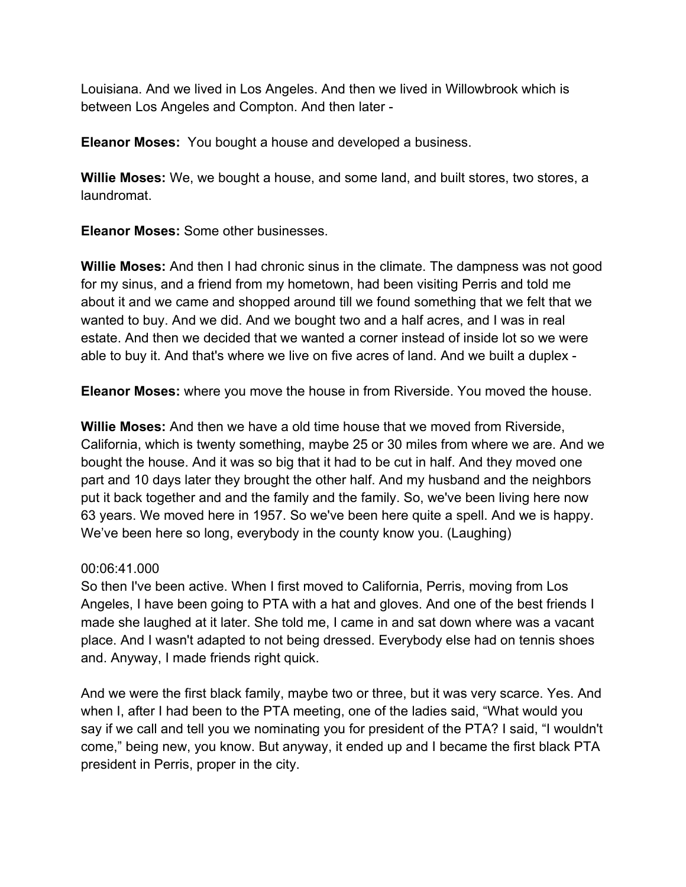Louisiana. And we lived in Los Angeles. And then we lived in Willowbrook which is between Los Angeles and Compton. And then later -

**Eleanor Moses:** You bought a house and developed a business.

**Willie Moses:** We, we bought a house, and some land, and built stores, two stores, a laundromat.

**Eleanor Moses:** Some other businesses.

**Willie Moses:** And then I had chronic sinus in the climate. The dampness was not good for my sinus, and a friend from my hometown, had been visiting Perris and told me about it and we came and shopped around till we found something that we felt that we wanted to buy. And we did. And we bought two and a half acres, and I was in real estate. And then we decided that we wanted a corner instead of inside lot so we were able to buy it. And that's where we live on five acres of land. And we built a duplex -

**Eleanor Moses:** where you move the house in from Riverside. You moved the house.

**Willie Moses:** And then we have a old time house that we moved from Riverside, California, which is twenty something, maybe 25 or 30 miles from where we are. And we bought the house. And it was so big that it had to be cut in half. And they moved one part and 10 days later they brought the other half. And my husband and the neighbors put it back together and and the family and the family. So, we've been living here now 63 years. We moved here in 1957. So we've been here quite a spell. And we is happy. We've been here so long, everybody in the county know you. (Laughing)

# 00:06:41.000

So then I've been active. When I first moved to California, Perris, moving from Los Angeles, I have been going to PTA with a hat and gloves. And one of the best friends I made she laughed at it later. She told me, I came in and sat down where was a vacant place. And I wasn't adapted to not being dressed. Everybody else had on tennis shoes and. Anyway, I made friends right quick.

And we were the first black family, maybe two or three, but it was very scarce. Yes. And when I, after I had been to the PTA meeting, one of the ladies said, "What would you say if we call and tell you we nominating you for president of the PTA? I said, "I wouldn't come," being new, you know. But anyway, it ended up and I became the first black PTA president in Perris, proper in the city.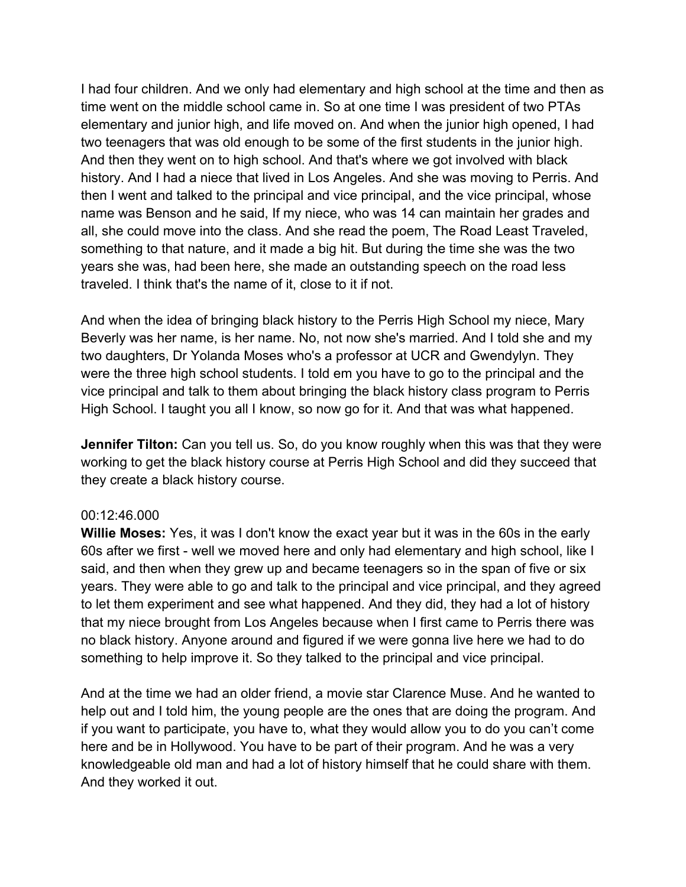I had four children. And we only had elementary and high school at the time and then as time went on the middle school came in. So at one time I was president of two PTAs elementary and junior high, and life moved on. And when the junior high opened, I had two teenagers that was old enough to be some of the first students in the junior high. And then they went on to high school. And that's where we got involved with black history. And I had a niece that lived in Los Angeles. And she was moving to Perris. And then I went and talked to the principal and vice principal, and the vice principal, whose name was Benson and he said, If my niece, who was 14 can maintain her grades and all, she could move into the class. And she read the poem, The Road Least Traveled, something to that nature, and it made a big hit. But during the time she was the two years she was, had been here, she made an outstanding speech on the road less traveled. I think that's the name of it, close to it if not.

And when the idea of bringing black history to the Perris High School my niece, Mary Beverly was her name, is her name. No, not now she's married. And I told she and my two daughters, Dr Yolanda Moses who's a professor at UCR and Gwendylyn. They were the three high school students. I told em you have to go to the principal and the vice principal and talk to them about bringing the black history class program to Perris High School. I taught you all I know, so now go for it. And that was what happened.

**Jennifer Tilton:** Can you tell us. So, do you know roughly when this was that they were working to get the black history course at Perris High School and did they succeed that they create a black history course.

# 00:12:46.000

**Willie Moses:** Yes, it was I don't know the exact year but it was in the 60s in the early 60s after we first - well we moved here and only had elementary and high school, like I said, and then when they grew up and became teenagers so in the span of five or six years. They were able to go and talk to the principal and vice principal, and they agreed to let them experiment and see what happened. And they did, they had a lot of history that my niece brought from Los Angeles because when I first came to Perris there was no black history. Anyone around and figured if we were gonna live here we had to do something to help improve it. So they talked to the principal and vice principal.

And at the time we had an older friend, a movie star Clarence Muse. And he wanted to help out and I told him, the young people are the ones that are doing the program. And if you want to participate, you have to, what they would allow you to do you can't come here and be in Hollywood. You have to be part of their program. And he was a very knowledgeable old man and had a lot of history himself that he could share with them. And they worked it out.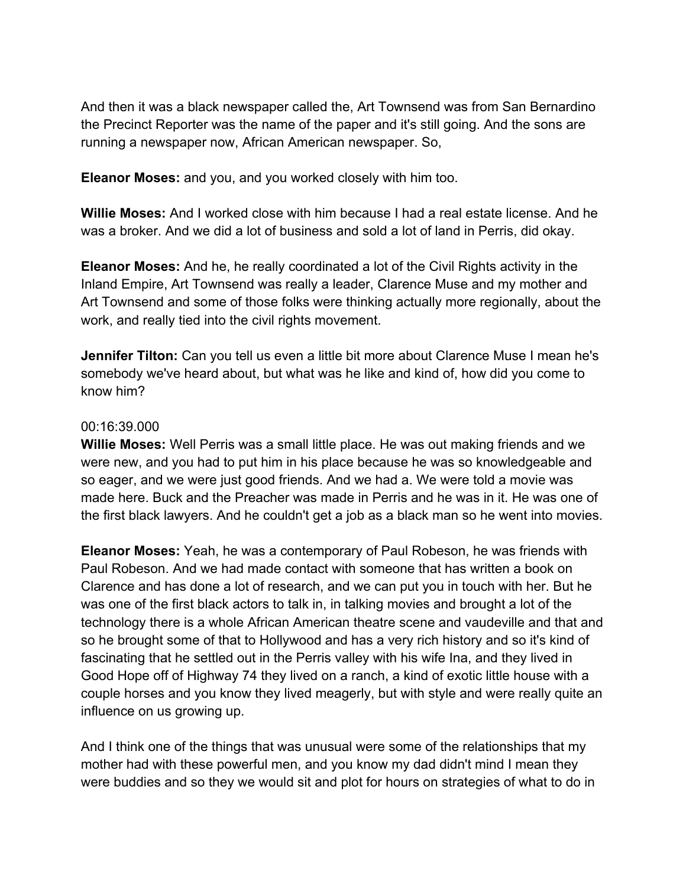And then it was a black newspaper called the, Art Townsend was from San Bernardino the Precinct Reporter was the name of the paper and it's still going. And the sons are running a newspaper now, African American newspaper. So,

**Eleanor Moses:** and you, and you worked closely with him too.

**Willie Moses:** And I worked close with him because I had a real estate license. And he was a broker. And we did a lot of business and sold a lot of land in Perris, did okay.

**Eleanor Moses:** And he, he really coordinated a lot of the Civil Rights activity in the Inland Empire, Art Townsend was really a leader, Clarence Muse and my mother and Art Townsend and some of those folks were thinking actually more regionally, about the work, and really tied into the civil rights movement.

**Jennifer Tilton:** Can you tell us even a little bit more about Clarence Muse I mean he's somebody we've heard about, but what was he like and kind of, how did you come to know him?

# 00:16:39.000

**Willie Moses:** Well Perris was a small little place. He was out making friends and we were new, and you had to put him in his place because he was so knowledgeable and so eager, and we were just good friends. And we had a. We were told a movie was made here. Buck and the Preacher was made in Perris and he was in it. He was one of the first black lawyers. And he couldn't get a job as a black man so he went into movies.

**Eleanor Moses:** Yeah, he was a contemporary of Paul Robeson, he was friends with Paul Robeson. And we had made contact with someone that has written a book on Clarence and has done a lot of research, and we can put you in touch with her. But he was one of the first black actors to talk in, in talking movies and brought a lot of the technology there is a whole African American theatre scene and vaudeville and that and so he brought some of that to Hollywood and has a very rich history and so it's kind of fascinating that he settled out in the Perris valley with his wife Ina, and they lived in Good Hope off of Highway 74 they lived on a ranch, a kind of exotic little house with a couple horses and you know they lived meagerly, but with style and were really quite an influence on us growing up.

And I think one of the things that was unusual were some of the relationships that my mother had with these powerful men, and you know my dad didn't mind I mean they were buddies and so they we would sit and plot for hours on strategies of what to do in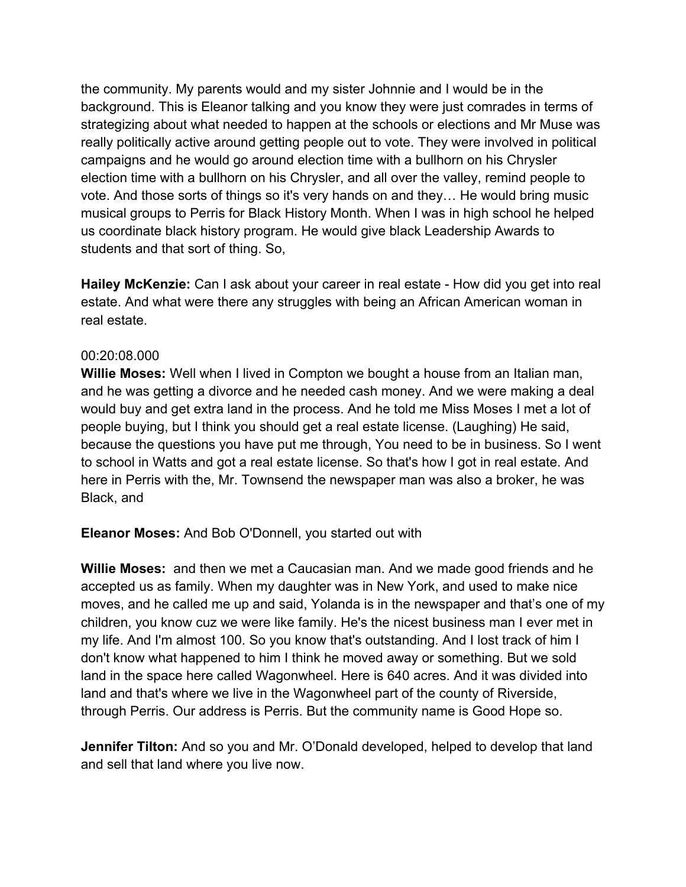the community. My parents would and my sister Johnnie and I would be in the background. This is Eleanor talking and you know they were just comrades in terms of strategizing about what needed to happen at the schools or elections and Mr Muse was really politically active around getting people out to vote. They were involved in political campaigns and he would go around election time with a bullhorn on his Chrysler election time with a bullhorn on his Chrysler, and all over the valley, remind people to vote. And those sorts of things so it's very hands on and they… He would bring music musical groups to Perris for Black History Month. When I was in high school he helped us coordinate black history program. He would give black Leadership Awards to students and that sort of thing. So,

**Hailey McKenzie:** Can I ask about your career in real estate - How did you get into real estate. And what were there any struggles with being an African American woman in real estate.

# 00:20:08.000

**Willie Moses:** Well when I lived in Compton we bought a house from an Italian man, and he was getting a divorce and he needed cash money. And we were making a deal would buy and get extra land in the process. And he told me Miss Moses I met a lot of people buying, but I think you should get a real estate license. (Laughing) He said, because the questions you have put me through, You need to be in business. So I went to school in Watts and got a real estate license. So that's how I got in real estate. And here in Perris with the, Mr. Townsend the newspaper man was also a broker, he was Black, and

**Eleanor Moses:** And Bob O'Donnell, you started out with

**Willie Moses:** and then we met a Caucasian man. And we made good friends and he accepted us as family. When my daughter was in New York, and used to make nice moves, and he called me up and said, Yolanda is in the newspaper and that's one of my children, you know cuz we were like family. He's the nicest business man I ever met in my life. And I'm almost 100. So you know that's outstanding. And I lost track of him I don't know what happened to him I think he moved away or something. But we sold land in the space here called Wagonwheel. Here is 640 acres. And it was divided into land and that's where we live in the Wagonwheel part of the county of Riverside, through Perris. Our address is Perris. But the community name is Good Hope so.

**Jennifer Tilton:** And so you and Mr. O'Donald developed, helped to develop that land and sell that land where you live now.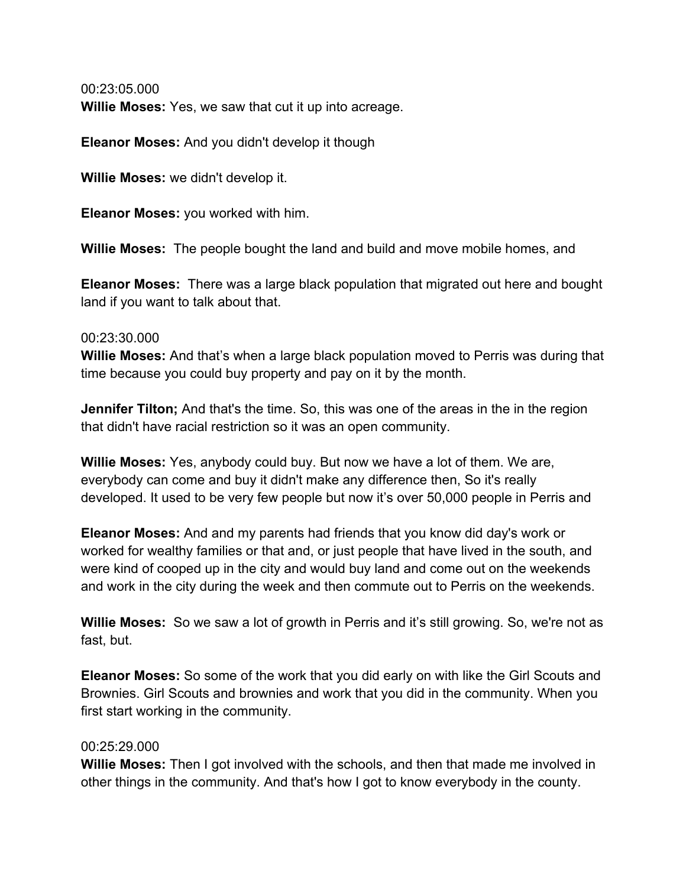00:23:05.000 **Willie Moses:** Yes, we saw that cut it up into acreage.

**Eleanor Moses:** And you didn't develop it though

**Willie Moses:** we didn't develop it.

**Eleanor Moses:** you worked with him.

**Willie Moses:** The people bought the land and build and move mobile homes, and

**Eleanor Moses:** There was a large black population that migrated out here and bought land if you want to talk about that.

#### 00:23:30.000

**Willie Moses:** And that's when a large black population moved to Perris was during that time because you could buy property and pay on it by the month.

**Jennifer Tilton;** And that's the time. So, this was one of the areas in the in the region that didn't have racial restriction so it was an open community.

**Willie Moses:** Yes, anybody could buy. But now we have a lot of them. We are, everybody can come and buy it didn't make any difference then, So it's really developed. It used to be very few people but now it's over 50,000 people in Perris and

**Eleanor Moses:** And and my parents had friends that you know did day's work or worked for wealthy families or that and, or just people that have lived in the south, and were kind of cooped up in the city and would buy land and come out on the weekends and work in the city during the week and then commute out to Perris on the weekends.

**Willie Moses:** So we saw a lot of growth in Perris and it's still growing. So, we're not as fast, but.

**Eleanor Moses:** So some of the work that you did early on with like the Girl Scouts and Brownies. Girl Scouts and brownies and work that you did in the community. When you first start working in the community.

# 00:25:29.000

**Willie Moses:** Then I got involved with the schools, and then that made me involved in other things in the community. And that's how I got to know everybody in the county.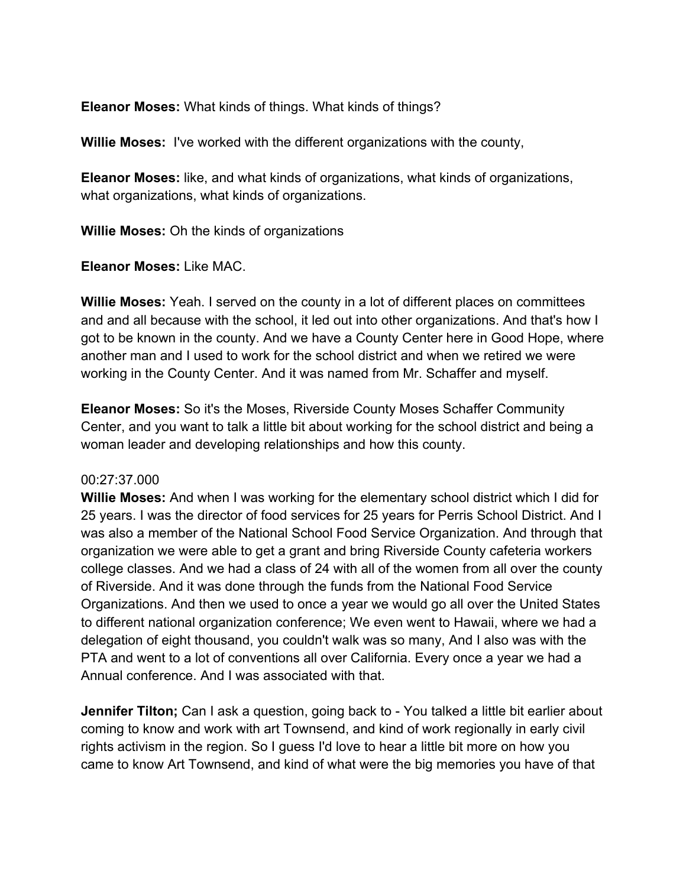**Eleanor Moses:** What kinds of things. What kinds of things?

**Willie Moses:** I've worked with the different organizations with the county,

**Eleanor Moses:** like, and what kinds of organizations, what kinds of organizations, what organizations, what kinds of organizations.

**Willie Moses:** Oh the kinds of organizations

**Eleanor Moses:** Like MAC.

**Willie Moses:** Yeah. I served on the county in a lot of different places on committees and and all because with the school, it led out into other organizations. And that's how I got to be known in the county. And we have a County Center here in Good Hope, where another man and I used to work for the school district and when we retired we were working in the County Center. And it was named from Mr. Schaffer and myself.

**Eleanor Moses:** So it's the Moses, Riverside County Moses Schaffer Community Center, and you want to talk a little bit about working for the school district and being a woman leader and developing relationships and how this county.

# 00:27:37.000

**Willie Moses:** And when I was working for the elementary school district which I did for 25 years. I was the director of food services for 25 years for Perris School District. And I was also a member of the National School Food Service Organization. And through that organization we were able to get a grant and bring Riverside County cafeteria workers college classes. And we had a class of 24 with all of the women from all over the county of Riverside. And it was done through the funds from the National Food Service Organizations. And then we used to once a year we would go all over the United States to different national organization conference; We even went to Hawaii, where we had a delegation of eight thousand, you couldn't walk was so many, And I also was with the PTA and went to a lot of conventions all over California. Every once a year we had a Annual conference. And I was associated with that.

**Jennifer Tilton;** Can I ask a question, going back to - You talked a little bit earlier about coming to know and work with art Townsend, and kind of work regionally in early civil rights activism in the region. So I guess I'd love to hear a little bit more on how you came to know Art Townsend, and kind of what were the big memories you have of that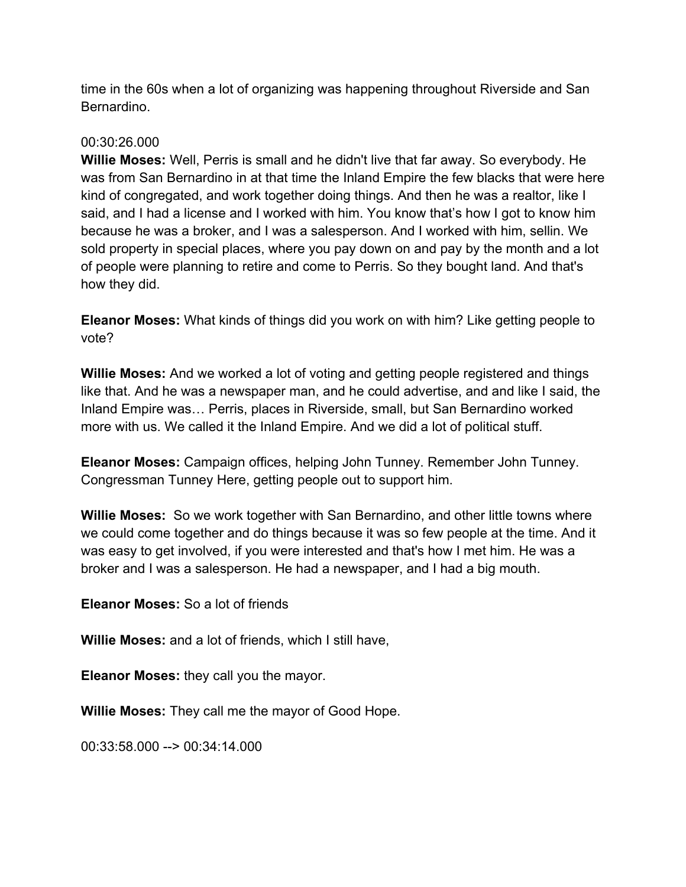time in the 60s when a lot of organizing was happening throughout Riverside and San Bernardino.

# 00:30:26.000

**Willie Moses:** Well, Perris is small and he didn't live that far away. So everybody. He was from San Bernardino in at that time the Inland Empire the few blacks that were here kind of congregated, and work together doing things. And then he was a realtor, like I said, and I had a license and I worked with him. You know that's how I got to know him because he was a broker, and I was a salesperson. And I worked with him, sellin. We sold property in special places, where you pay down on and pay by the month and a lot of people were planning to retire and come to Perris. So they bought land. And that's how they did.

**Eleanor Moses:** What kinds of things did you work on with him? Like getting people to vote?

**Willie Moses:** And we worked a lot of voting and getting people registered and things like that. And he was a newspaper man, and he could advertise, and and like I said, the Inland Empire was… Perris, places in Riverside, small, but San Bernardino worked more with us. We called it the Inland Empire. And we did a lot of political stuff.

**Eleanor Moses:** Campaign offices, helping John Tunney. Remember John Tunney. Congressman Tunney Here, getting people out to support him.

**Willie Moses:** So we work together with San Bernardino, and other little towns where we could come together and do things because it was so few people at the time. And it was easy to get involved, if you were interested and that's how I met him. He was a broker and I was a salesperson. He had a newspaper, and I had a big mouth.

**Eleanor Moses:** So a lot of friends

**Willie Moses:** and a lot of friends, which I still have,

**Eleanor Moses:** they call you the mayor.

**Willie Moses:** They call me the mayor of Good Hope.

00:33:58.000 --> 00:34:14.000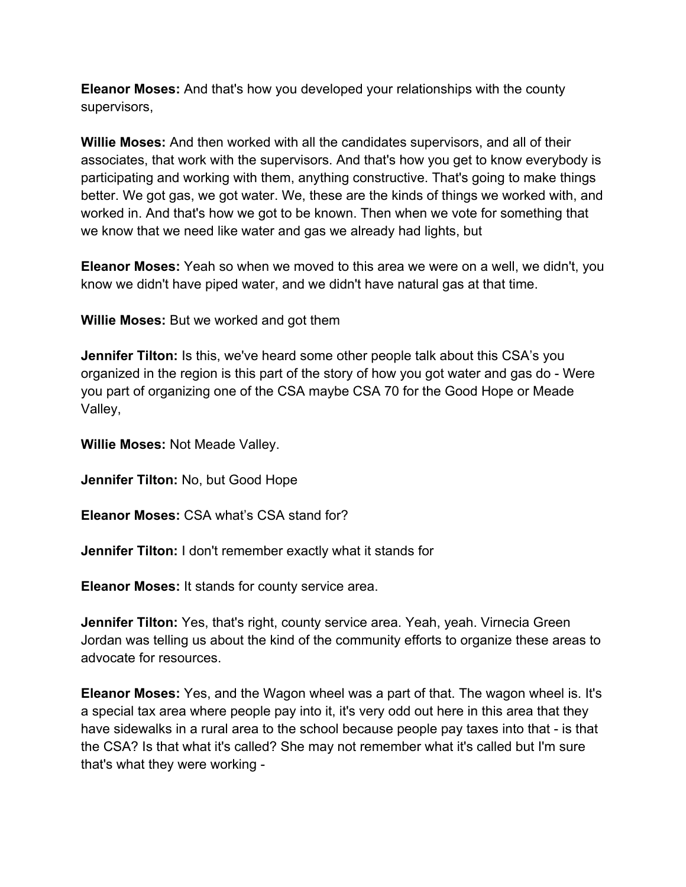**Eleanor Moses:** And that's how you developed your relationships with the county supervisors,

**Willie Moses:** And then worked with all the candidates supervisors, and all of their associates, that work with the supervisors. And that's how you get to know everybody is participating and working with them, anything constructive. That's going to make things better. We got gas, we got water. We, these are the kinds of things we worked with, and worked in. And that's how we got to be known. Then when we vote for something that we know that we need like water and gas we already had lights, but

**Eleanor Moses:** Yeah so when we moved to this area we were on a well, we didn't, you know we didn't have piped water, and we didn't have natural gas at that time.

**Willie Moses:** But we worked and got them

**Jennifer Tilton:** Is this, we've heard some other people talk about this CSA's you organized in the region is this part of the story of how you got water and gas do - Were you part of organizing one of the CSA maybe CSA 70 for the Good Hope or Meade Valley,

**Willie Moses:** Not Meade Valley.

**Jennifer Tilton:** No, but Good Hope

**Eleanor Moses:** CSA what's CSA stand for?

**Jennifer Tilton:** I don't remember exactly what it stands for

**Eleanor Moses:** It stands for county service area.

**Jennifer Tilton:** Yes, that's right, county service area. Yeah, yeah. Virnecia Green Jordan was telling us about the kind of the community efforts to organize these areas to advocate for resources.

**Eleanor Moses:** Yes, and the Wagon wheel was a part of that. The wagon wheel is. It's a special tax area where people pay into it, it's very odd out here in this area that they have sidewalks in a rural area to the school because people pay taxes into that - is that the CSA? Is that what it's called? She may not remember what it's called but I'm sure that's what they were working -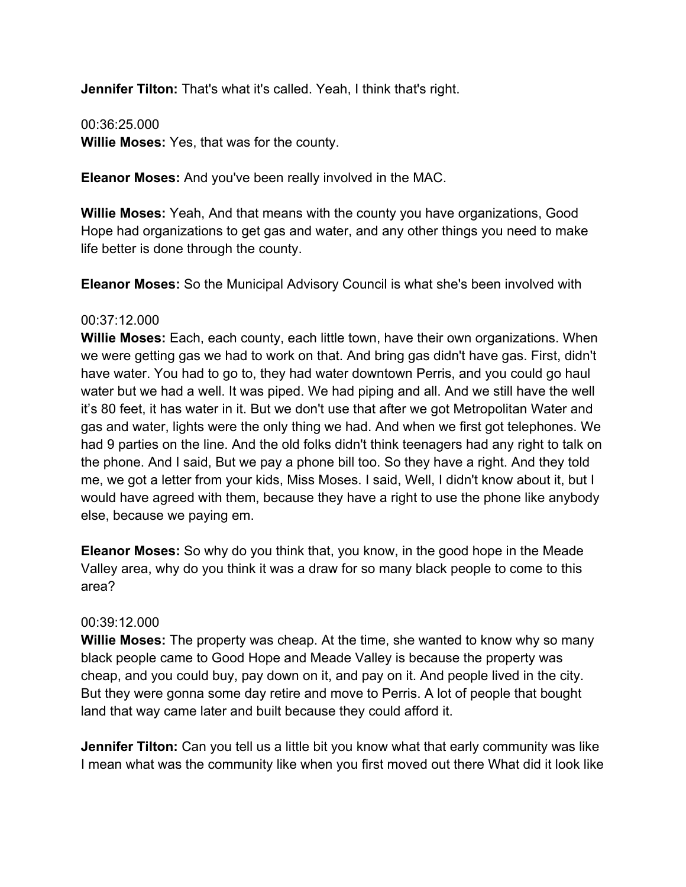**Jennifer Tilton:** That's what it's called. Yeah, I think that's right.

00:36:25.000 **Willie Moses:** Yes, that was for the county.

**Eleanor Moses:** And you've been really involved in the MAC.

**Willie Moses:** Yeah, And that means with the county you have organizations, Good Hope had organizations to get gas and water, and any other things you need to make life better is done through the county.

**Eleanor Moses:** So the Municipal Advisory Council is what she's been involved with

# 00:37:12.000

**Willie Moses:** Each, each county, each little town, have their own organizations. When we were getting gas we had to work on that. And bring gas didn't have gas. First, didn't have water. You had to go to, they had water downtown Perris, and you could go haul water but we had a well. It was piped. We had piping and all. And we still have the well it's 80 feet, it has water in it. But we don't use that after we got Metropolitan Water and gas and water, lights were the only thing we had. And when we first got telephones. We had 9 parties on the line. And the old folks didn't think teenagers had any right to talk on the phone. And I said, But we pay a phone bill too. So they have a right. And they told me, we got a letter from your kids, Miss Moses. I said, Well, I didn't know about it, but I would have agreed with them, because they have a right to use the phone like anybody else, because we paying em.

**Eleanor Moses:** So why do you think that, you know, in the good hope in the Meade Valley area, why do you think it was a draw for so many black people to come to this area?

# 00:39:12.000

**Willie Moses:** The property was cheap. At the time, she wanted to know why so many black people came to Good Hope and Meade Valley is because the property was cheap, and you could buy, pay down on it, and pay on it. And people lived in the city. But they were gonna some day retire and move to Perris. A lot of people that bought land that way came later and built because they could afford it.

**Jennifer Tilton:** Can you tell us a little bit you know what that early community was like I mean what was the community like when you first moved out there What did it look like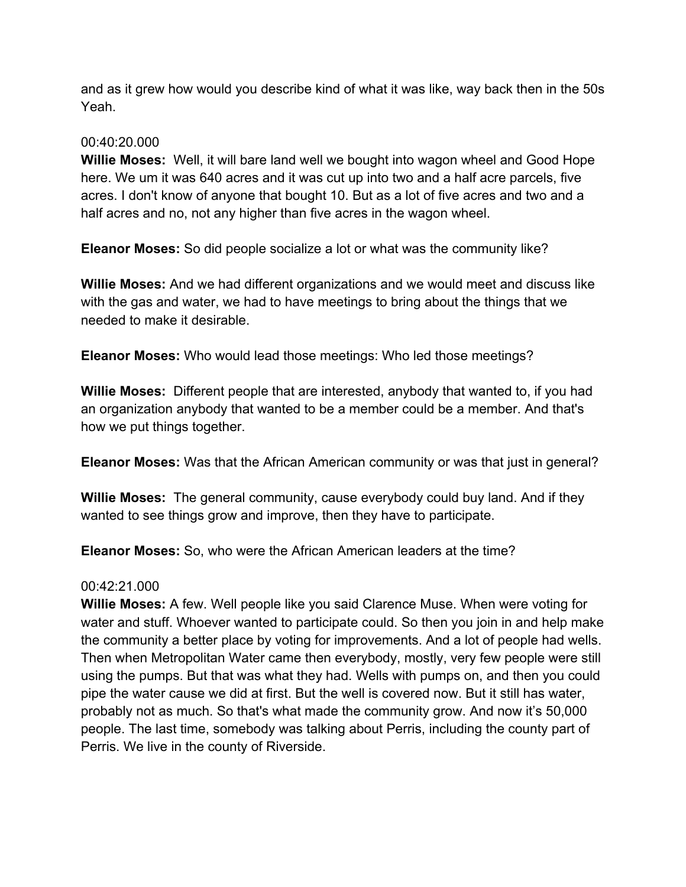and as it grew how would you describe kind of what it was like, way back then in the 50s Yeah.

# 00:40:20.000

**Willie Moses:** Well, it will bare land well we bought into wagon wheel and Good Hope here. We um it was 640 acres and it was cut up into two and a half acre parcels, five acres. I don't know of anyone that bought 10. But as a lot of five acres and two and a half acres and no, not any higher than five acres in the wagon wheel.

**Eleanor Moses:** So did people socialize a lot or what was the community like?

**Willie Moses:** And we had different organizations and we would meet and discuss like with the gas and water, we had to have meetings to bring about the things that we needed to make it desirable.

**Eleanor Moses:** Who would lead those meetings: Who led those meetings?

**Willie Moses:** Different people that are interested, anybody that wanted to, if you had an organization anybody that wanted to be a member could be a member. And that's how we put things together.

**Eleanor Moses:** Was that the African American community or was that just in general?

**Willie Moses:** The general community, cause everybody could buy land. And if they wanted to see things grow and improve, then they have to participate.

**Eleanor Moses:** So, who were the African American leaders at the time?

# 00:42:21.000

**Willie Moses:** A few. Well people like you said Clarence Muse. When were voting for water and stuff. Whoever wanted to participate could. So then you join in and help make the community a better place by voting for improvements. And a lot of people had wells. Then when Metropolitan Water came then everybody, mostly, very few people were still using the pumps. But that was what they had. Wells with pumps on, and then you could pipe the water cause we did at first. But the well is covered now. But it still has water, probably not as much. So that's what made the community grow. And now it's 50,000 people. The last time, somebody was talking about Perris, including the county part of Perris. We live in the county of Riverside.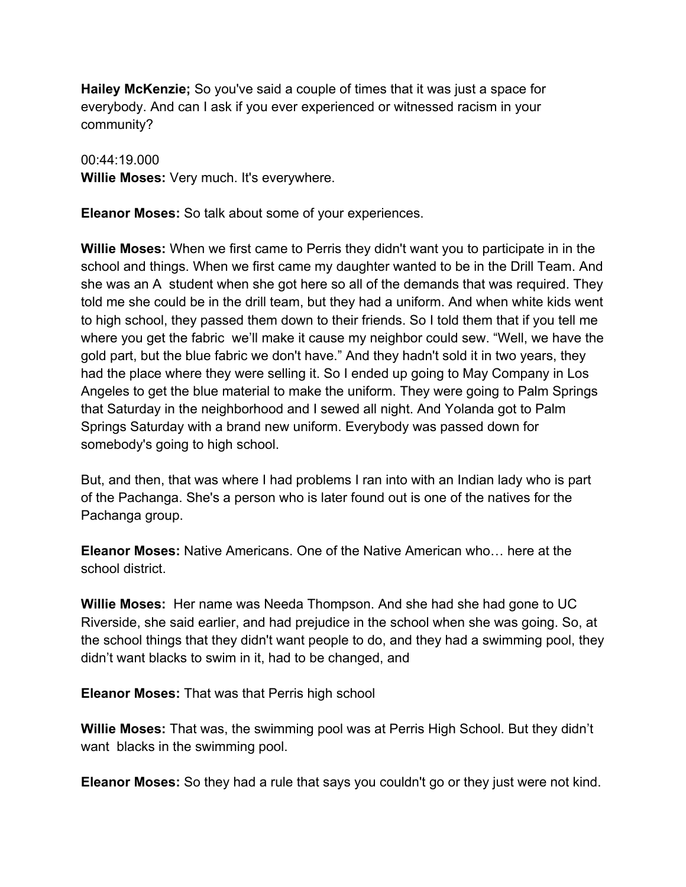**Hailey McKenzie;** So you've said a couple of times that it was just a space for everybody. And can I ask if you ever experienced or witnessed racism in your community?

00:44:19.000 **Willie Moses:** Very much. It's everywhere.

**Eleanor Moses:** So talk about some of your experiences.

**Willie Moses:** When we first came to Perris they didn't want you to participate in in the school and things. When we first came my daughter wanted to be in the Drill Team. And she was an A student when she got here so all of the demands that was required. They told me she could be in the drill team, but they had a uniform. And when white kids went to high school, they passed them down to their friends. So I told them that if you tell me where you get the fabric we'll make it cause my neighbor could sew. "Well, we have the gold part, but the blue fabric we don't have." And they hadn't sold it in two years, they had the place where they were selling it. So I ended up going to May Company in Los Angeles to get the blue material to make the uniform. They were going to Palm Springs that Saturday in the neighborhood and I sewed all night. And Yolanda got to Palm Springs Saturday with a brand new uniform. Everybody was passed down for somebody's going to high school.

But, and then, that was where I had problems I ran into with an Indian lady who is part of the Pachanga. She's a person who is later found out is one of the natives for the Pachanga group.

**Eleanor Moses:** Native Americans. One of the Native American who… here at the school district.

**Willie Moses:** Her name was Needa Thompson. And she had she had gone to UC Riverside, she said earlier, and had prejudice in the school when she was going. So, at the school things that they didn't want people to do, and they had a swimming pool, they didn't want blacks to swim in it, had to be changed, and

**Eleanor Moses:** That was that Perris high school

**Willie Moses:** That was, the swimming pool was at Perris High School. But they didn't want blacks in the swimming pool.

**Eleanor Moses:** So they had a rule that says you couldn't go or they just were not kind.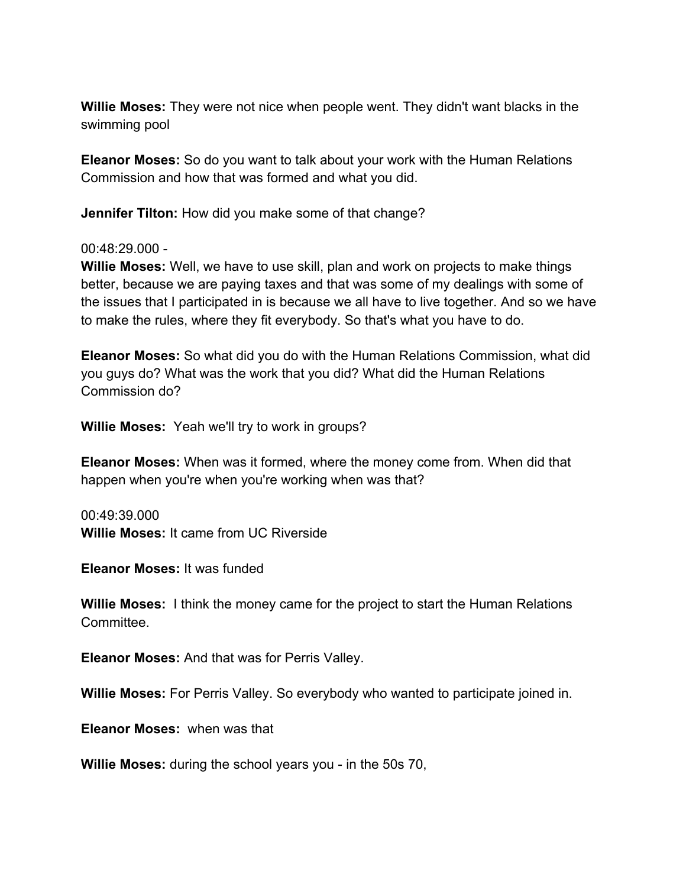**Willie Moses:** They were not nice when people went. They didn't want blacks in the swimming pool

**Eleanor Moses:** So do you want to talk about your work with the Human Relations Commission and how that was formed and what you did.

**Jennifer Tilton:** How did you make some of that change?

#### 00:48:29.000 -

**Willie Moses:** Well, we have to use skill, plan and work on projects to make things better, because we are paying taxes and that was some of my dealings with some of the issues that I participated in is because we all have to live together. And so we have to make the rules, where they fit everybody. So that's what you have to do.

**Eleanor Moses:** So what did you do with the Human Relations Commission, what did you guys do? What was the work that you did? What did the Human Relations Commission do?

**Willie Moses:** Yeah we'll try to work in groups?

**Eleanor Moses:** When was it formed, where the money come from. When did that happen when you're when you're working when was that?

00:49:39.000 **Willie Moses:** It came from UC Riverside

**Eleanor Moses:** It was funded

**Willie Moses:** I think the money came for the project to start the Human Relations Committee.

**Eleanor Moses:** And that was for Perris Valley.

**Willie Moses:** For Perris Valley. So everybody who wanted to participate joined in.

**Eleanor Moses:** when was that

**Willie Moses:** during the school years you - in the 50s 70,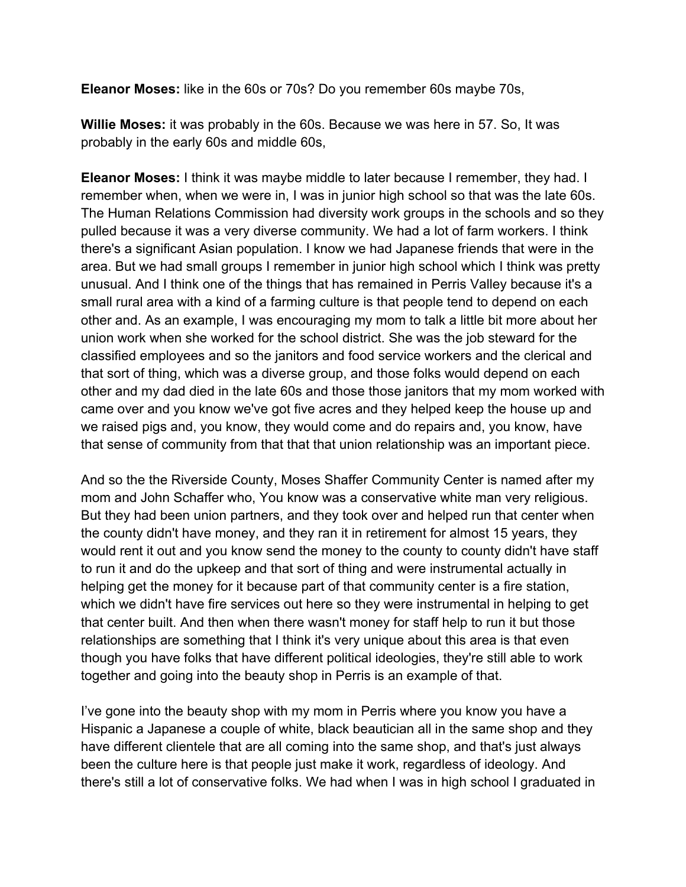**Eleanor Moses:** like in the 60s or 70s? Do you remember 60s maybe 70s,

**Willie Moses:** it was probably in the 60s. Because we was here in 57. So, It was probably in the early 60s and middle 60s,

**Eleanor Moses:** I think it was maybe middle to later because I remember, they had. I remember when, when we were in, I was in junior high school so that was the late 60s. The Human Relations Commission had diversity work groups in the schools and so they pulled because it was a very diverse community. We had a lot of farm workers. I think there's a significant Asian population. I know we had Japanese friends that were in the area. But we had small groups I remember in junior high school which I think was pretty unusual. And I think one of the things that has remained in Perris Valley because it's a small rural area with a kind of a farming culture is that people tend to depend on each other and. As an example, I was encouraging my mom to talk a little bit more about her union work when she worked for the school district. She was the job steward for the classified employees and so the janitors and food service workers and the clerical and that sort of thing, which was a diverse group, and those folks would depend on each other and my dad died in the late 60s and those those janitors that my mom worked with came over and you know we've got five acres and they helped keep the house up and we raised pigs and, you know, they would come and do repairs and, you know, have that sense of community from that that that union relationship was an important piece.

And so the the Riverside County, Moses Shaffer Community Center is named after my mom and John Schaffer who, You know was a conservative white man very religious. But they had been union partners, and they took over and helped run that center when the county didn't have money, and they ran it in retirement for almost 15 years, they would rent it out and you know send the money to the county to county didn't have staff to run it and do the upkeep and that sort of thing and were instrumental actually in helping get the money for it because part of that community center is a fire station, which we didn't have fire services out here so they were instrumental in helping to get that center built. And then when there wasn't money for staff help to run it but those relationships are something that I think it's very unique about this area is that even though you have folks that have different political ideologies, they're still able to work together and going into the beauty shop in Perris is an example of that.

I've gone into the beauty shop with my mom in Perris where you know you have a Hispanic a Japanese a couple of white, black beautician all in the same shop and they have different clientele that are all coming into the same shop, and that's just always been the culture here is that people just make it work, regardless of ideology. And there's still a lot of conservative folks. We had when I was in high school I graduated in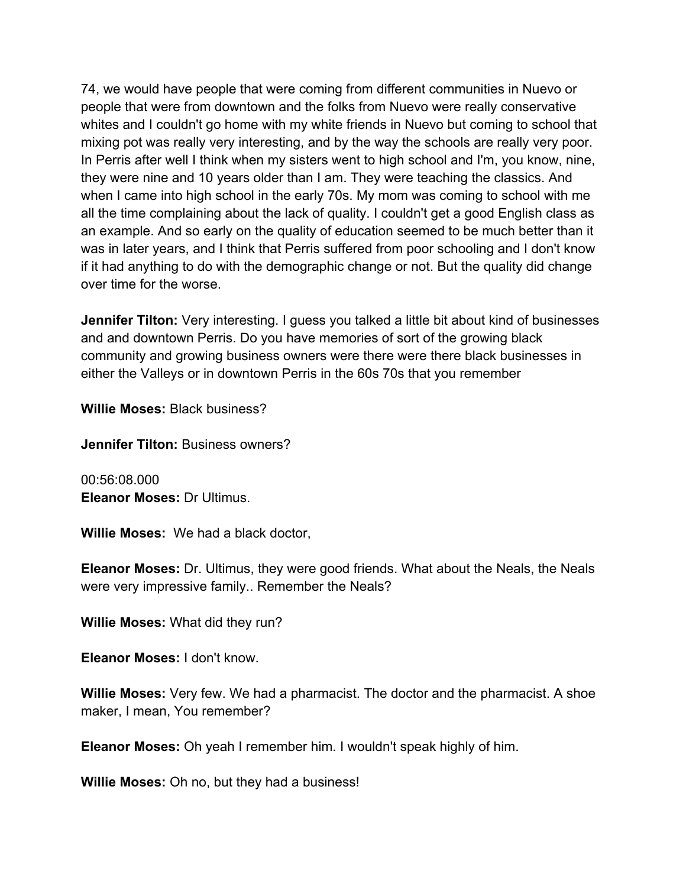74, we would have people that were coming from different communities in Nuevo or people that were from downtown and the folks from Nuevo were really conservative whites and I couldn't go home with my white friends in Nuevo but coming to school that mixing pot was really very interesting, and by the way the schools are really very poor. In Perris after well I think when my sisters went to high school and I'm, you know, nine, they were nine and 10 years older than I am. They were teaching the classics. And when I came into high school in the early 70s. My mom was coming to school with me all the time complaining about the lack of quality. I couldn't get a good English class as an example. And so early on the quality of education seemed to be much better than it was in later years, and I think that Perris suffered from poor schooling and I don't know if it had anything to do with the demographic change or not. But the quality did change over time for the worse.

**Jennifer Tilton:** Very interesting. I guess you talked a little bit about kind of businesses and and downtown Perris. Do you have memories of sort of the growing black community and growing business owners were there were there black businesses in either the Valleys or in downtown Perris in the 60s 70s that you remember

**Willie Moses:** Black business?

**Jennifer Tilton:** Business owners?

00:56:08.000 **Eleanor Moses:** Dr Ultimus.

**Willie Moses:** We had a black doctor,

**Eleanor Moses:** Dr. Ultimus, they were good friends. What about the Neals, the Neals were very impressive family.. Remember the Neals?

**Willie Moses:** What did they run?

**Eleanor Moses:** I don't know.

**Willie Moses:** Very few. We had a pharmacist. The doctor and the pharmacist. A shoe maker, I mean, You remember?

**Eleanor Moses:** Oh yeah I remember him. I wouldn't speak highly of him.

**Willie Moses:** Oh no, but they had a business!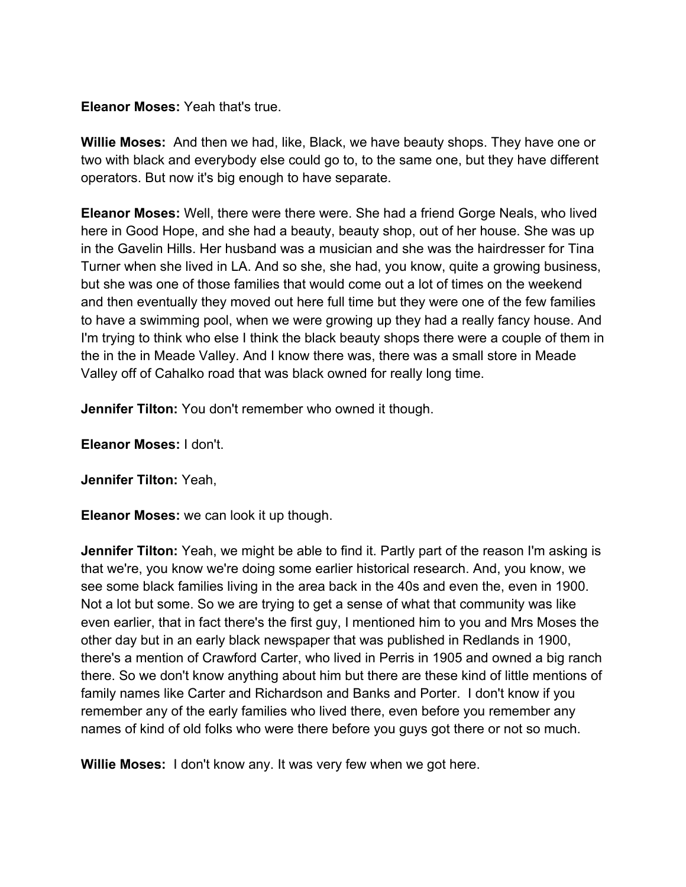# **Eleanor Moses:** Yeah that's true.

**Willie Moses:** And then we had, like, Black, we have beauty shops. They have one or two with black and everybody else could go to, to the same one, but they have different operators. But now it's big enough to have separate.

**Eleanor Moses:** Well, there were there were. She had a friend Gorge Neals, who lived here in Good Hope, and she had a beauty, beauty shop, out of her house. She was up in the Gavelin Hills. Her husband was a musician and she was the hairdresser for Tina Turner when she lived in LA. And so she, she had, you know, quite a growing business, but she was one of those families that would come out a lot of times on the weekend and then eventually they moved out here full time but they were one of the few families to have a swimming pool, when we were growing up they had a really fancy house. And I'm trying to think who else I think the black beauty shops there were a couple of them in the in the in Meade Valley. And I know there was, there was a small store in Meade Valley off of Cahalko road that was black owned for really long time.

**Jennifer Tilton:** You don't remember who owned it though.

**Eleanor Moses:** I don't.

**Jennifer Tilton:** Yeah,

**Eleanor Moses:** we can look it up though.

**Jennifer Tilton:** Yeah, we might be able to find it. Partly part of the reason I'm asking is that we're, you know we're doing some earlier historical research. And, you know, we see some black families living in the area back in the 40s and even the, even in 1900. Not a lot but some. So we are trying to get a sense of what that community was like even earlier, that in fact there's the first guy, I mentioned him to you and Mrs Moses the other day but in an early black newspaper that was published in Redlands in 1900, there's a mention of Crawford Carter, who lived in Perris in 1905 and owned a big ranch there. So we don't know anything about him but there are these kind of little mentions of family names like Carter and Richardson and Banks and Porter. I don't know if you remember any of the early families who lived there, even before you remember any names of kind of old folks who were there before you guys got there or not so much.

**Willie Moses:** I don't know any. It was very few when we got here.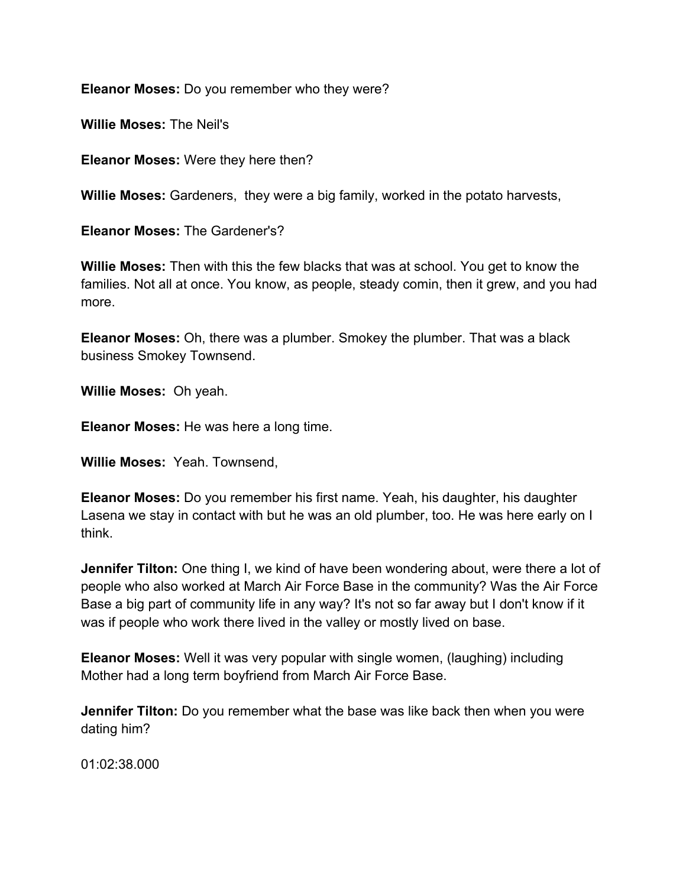**Eleanor Moses:** Do you remember who they were?

**Willie Moses:** The Neil's

**Eleanor Moses:** Were they here then?

**Willie Moses:** Gardeners, they were a big family, worked in the potato harvests,

**Eleanor Moses:** The Gardener's?

**Willie Moses:** Then with this the few blacks that was at school. You get to know the families. Not all at once. You know, as people, steady comin, then it grew, and you had more.

**Eleanor Moses:** Oh, there was a plumber. Smokey the plumber. That was a black business Smokey Townsend.

**Willie Moses:** Oh yeah.

**Eleanor Moses:** He was here a long time.

**Willie Moses:** Yeah. Townsend,

**Eleanor Moses:** Do you remember his first name. Yeah, his daughter, his daughter Lasena we stay in contact with but he was an old plumber, too. He was here early on I think.

**Jennifer Tilton:** One thing I, we kind of have been wondering about, were there a lot of people who also worked at March Air Force Base in the community? Was the Air Force Base a big part of community life in any way? It's not so far away but I don't know if it was if people who work there lived in the valley or mostly lived on base.

**Eleanor Moses:** Well it was very popular with single women, (laughing) including Mother had a long term boyfriend from March Air Force Base.

**Jennifer Tilton:** Do you remember what the base was like back then when you were dating him?

01:02:38.000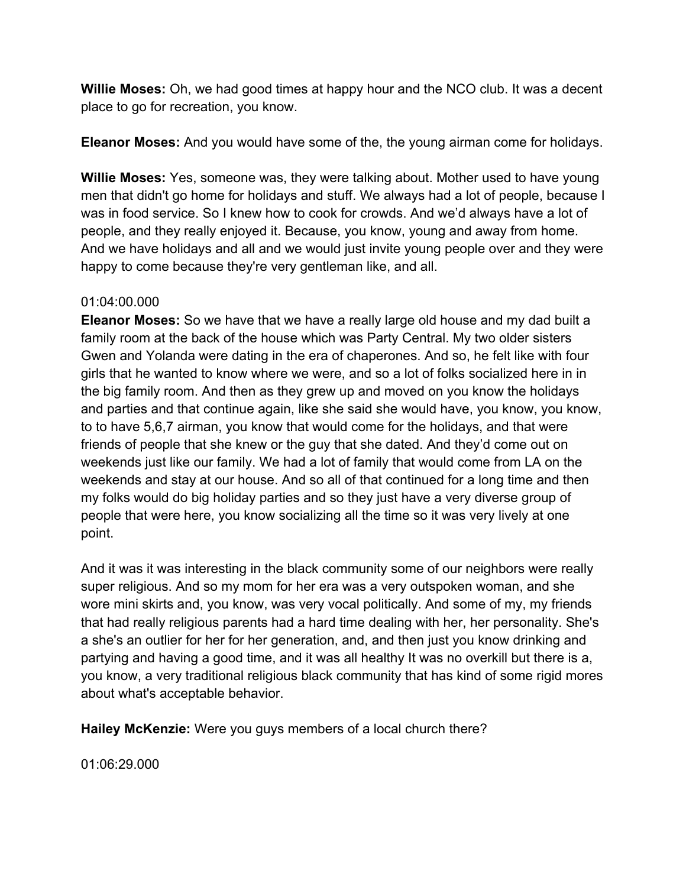**Willie Moses:** Oh, we had good times at happy hour and the NCO club. It was a decent place to go for recreation, you know.

**Eleanor Moses:** And you would have some of the, the young airman come for holidays.

**Willie Moses:** Yes, someone was, they were talking about. Mother used to have young men that didn't go home for holidays and stuff. We always had a lot of people, because I was in food service. So I knew how to cook for crowds. And we'd always have a lot of people, and they really enjoyed it. Because, you know, young and away from home. And we have holidays and all and we would just invite young people over and they were happy to come because they're very gentleman like, and all.

# 01:04:00.000

**Eleanor Moses:** So we have that we have a really large old house and my dad built a family room at the back of the house which was Party Central. My two older sisters Gwen and Yolanda were dating in the era of chaperones. And so, he felt like with four girls that he wanted to know where we were, and so a lot of folks socialized here in in the big family room. And then as they grew up and moved on you know the holidays and parties and that continue again, like she said she would have, you know, you know, to to have 5,6,7 airman, you know that would come for the holidays, and that were friends of people that she knew or the guy that she dated. And they'd come out on weekends just like our family. We had a lot of family that would come from LA on the weekends and stay at our house. And so all of that continued for a long time and then my folks would do big holiday parties and so they just have a very diverse group of people that were here, you know socializing all the time so it was very lively at one point.

And it was it was interesting in the black community some of our neighbors were really super religious. And so my mom for her era was a very outspoken woman, and she wore mini skirts and, you know, was very vocal politically. And some of my, my friends that had really religious parents had a hard time dealing with her, her personality. She's a she's an outlier for her for her generation, and, and then just you know drinking and partying and having a good time, and it was all healthy It was no overkill but there is a, you know, a very traditional religious black community that has kind of some rigid mores about what's acceptable behavior.

**Hailey McKenzie:** Were you guys members of a local church there?

01:06:29.000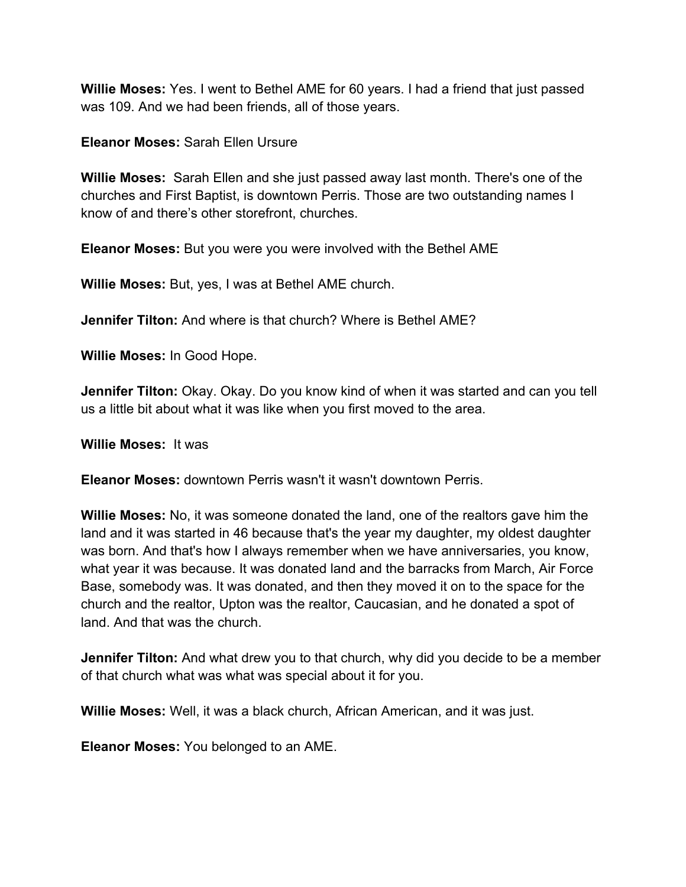**Willie Moses:** Yes. I went to Bethel AME for 60 years. I had a friend that just passed was 109. And we had been friends, all of those years.

**Eleanor Moses:** Sarah Ellen Ursure

**Willie Moses:** Sarah Ellen and she just passed away last month. There's one of the churches and First Baptist, is downtown Perris. Those are two outstanding names I know of and there's other storefront, churches.

**Eleanor Moses:** But you were you were involved with the Bethel AME

**Willie Moses:** But, yes, I was at Bethel AME church.

**Jennifer Tilton:** And where is that church? Where is Bethel AME?

**Willie Moses:** In Good Hope.

**Jennifer Tilton:** Okay. Okay. Do you know kind of when it was started and can you tell us a little bit about what it was like when you first moved to the area.

**Willie Moses:** It was

**Eleanor Moses:** downtown Perris wasn't it wasn't downtown Perris.

**Willie Moses:** No, it was someone donated the land, one of the realtors gave him the land and it was started in 46 because that's the year my daughter, my oldest daughter was born. And that's how I always remember when we have anniversaries, you know, what year it was because. It was donated land and the barracks from March, Air Force Base, somebody was. It was donated, and then they moved it on to the space for the church and the realtor, Upton was the realtor, Caucasian, and he donated a spot of land. And that was the church.

**Jennifer Tilton:** And what drew you to that church, why did you decide to be a member of that church what was what was special about it for you.

**Willie Moses:** Well, it was a black church, African American, and it was just.

**Eleanor Moses:** You belonged to an AME.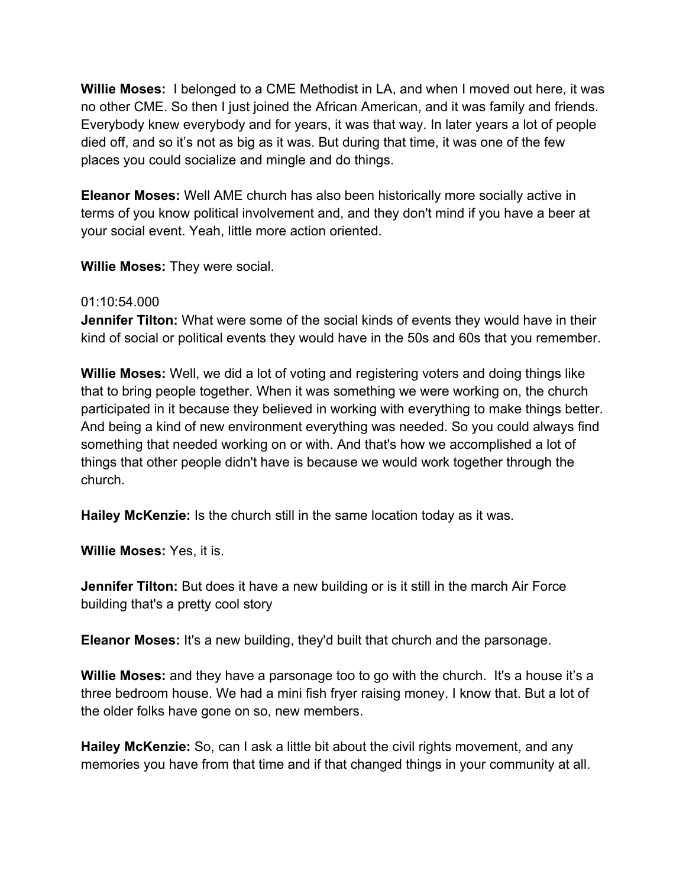**Willie Moses:** I belonged to a CME Methodist in LA, and when I moved out here, it was no other CME. So then I just joined the African American, and it was family and friends. Everybody knew everybody and for years, it was that way. In later years a lot of people died off, and so it's not as big as it was. But during that time, it was one of the few places you could socialize and mingle and do things.

**Eleanor Moses:** Well AME church has also been historically more socially active in terms of you know political involvement and, and they don't mind if you have a beer at your social event. Yeah, little more action oriented.

**Willie Moses:** They were social.

# 01:10:54.000

**Jennifer Tilton:** What were some of the social kinds of events they would have in their kind of social or political events they would have in the 50s and 60s that you remember.

**Willie Moses:** Well, we did a lot of voting and registering voters and doing things like that to bring people together. When it was something we were working on, the church participated in it because they believed in working with everything to make things better. And being a kind of new environment everything was needed. So you could always find something that needed working on or with. And that's how we accomplished a lot of things that other people didn't have is because we would work together through the church.

**Hailey McKenzie:** Is the church still in the same location today as it was.

**Willie Moses:** Yes, it is.

**Jennifer Tilton:** But does it have a new building or is it still in the march Air Force building that's a pretty cool story

**Eleanor Moses:** It's a new building, they'd built that church and the parsonage.

**Willie Moses:** and they have a parsonage too to go with the church. It's a house it's a three bedroom house. We had a mini fish fryer raising money. I know that. But a lot of the older folks have gone on so, new members.

**Hailey McKenzie:** So, can I ask a little bit about the civil rights movement, and any memories you have from that time and if that changed things in your community at all.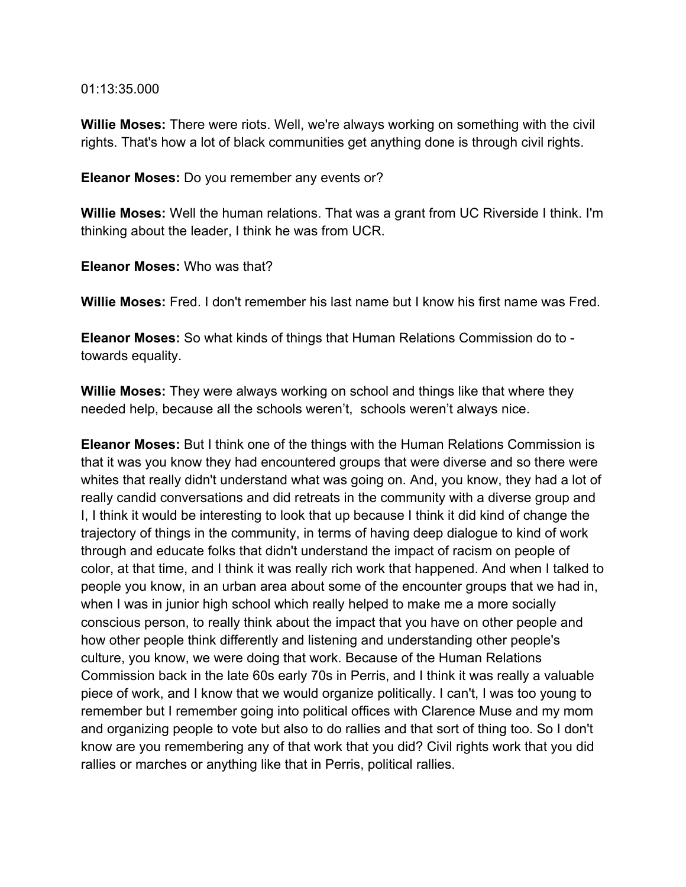#### 01:13:35.000

**Willie Moses:** There were riots. Well, we're always working on something with the civil rights. That's how a lot of black communities get anything done is through civil rights.

**Eleanor Moses:** Do you remember any events or?

**Willie Moses:** Well the human relations. That was a grant from UC Riverside I think. I'm thinking about the leader, I think he was from UCR.

**Eleanor Moses:** Who was that?

**Willie Moses:** Fred. I don't remember his last name but I know his first name was Fred.

**Eleanor Moses:** So what kinds of things that Human Relations Commission do to towards equality.

**Willie Moses:** They were always working on school and things like that where they needed help, because all the schools weren't, schools weren't always nice.

**Eleanor Moses:** But I think one of the things with the Human Relations Commission is that it was you know they had encountered groups that were diverse and so there were whites that really didn't understand what was going on. And, you know, they had a lot of really candid conversations and did retreats in the community with a diverse group and I, I think it would be interesting to look that up because I think it did kind of change the trajectory of things in the community, in terms of having deep dialogue to kind of work through and educate folks that didn't understand the impact of racism on people of color, at that time, and I think it was really rich work that happened. And when I talked to people you know, in an urban area about some of the encounter groups that we had in, when I was in junior high school which really helped to make me a more socially conscious person, to really think about the impact that you have on other people and how other people think differently and listening and understanding other people's culture, you know, we were doing that work. Because of the Human Relations Commission back in the late 60s early 70s in Perris, and I think it was really a valuable piece of work, and I know that we would organize politically. I can't, I was too young to remember but I remember going into political offices with Clarence Muse and my mom and organizing people to vote but also to do rallies and that sort of thing too. So I don't know are you remembering any of that work that you did? Civil rights work that you did rallies or marches or anything like that in Perris, political rallies.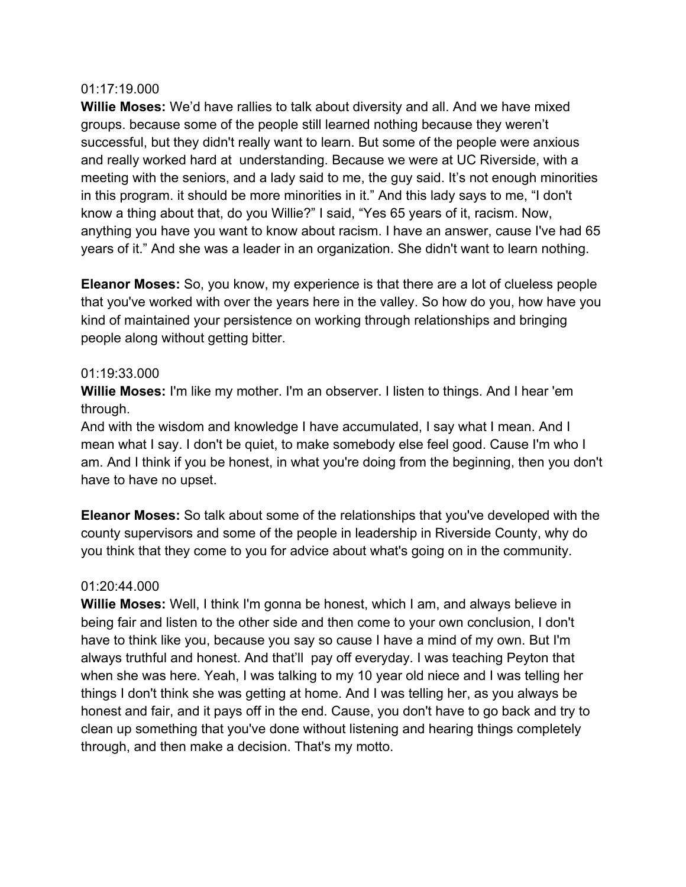#### 01:17:19.000

**Willie Moses:** We'd have rallies to talk about diversity and all. And we have mixed groups. because some of the people still learned nothing because they weren't successful, but they didn't really want to learn. But some of the people were anxious and really worked hard at understanding. Because we were at UC Riverside, with a meeting with the seniors, and a lady said to me, the guy said. It's not enough minorities in this program. it should be more minorities in it." And this lady says to me, "I don't know a thing about that, do you Willie?" I said, "Yes 65 years of it, racism. Now, anything you have you want to know about racism. I have an answer, cause I've had 65 years of it." And she was a leader in an organization. She didn't want to learn nothing.

**Eleanor Moses:** So, you know, my experience is that there are a lot of clueless people that you've worked with over the years here in the valley. So how do you, how have you kind of maintained your persistence on working through relationships and bringing people along without getting bitter.

#### 01:19:33.000

**Willie Moses:** I'm like my mother. I'm an observer. I listen to things. And I hear 'em through.

And with the wisdom and knowledge I have accumulated, I say what I mean. And I mean what I say. I don't be quiet, to make somebody else feel good. Cause I'm who I am. And I think if you be honest, in what you're doing from the beginning, then you don't have to have no upset.

**Eleanor Moses:** So talk about some of the relationships that you've developed with the county supervisors and some of the people in leadership in Riverside County, why do you think that they come to you for advice about what's going on in the community.

# 01:20:44.000

**Willie Moses:** Well, I think I'm gonna be honest, which I am, and always believe in being fair and listen to the other side and then come to your own conclusion, I don't have to think like you, because you say so cause I have a mind of my own. But I'm always truthful and honest. And that'll pay off everyday. I was teaching Peyton that when she was here. Yeah, I was talking to my 10 year old niece and I was telling her things I don't think she was getting at home. And I was telling her, as you always be honest and fair, and it pays off in the end. Cause, you don't have to go back and try to clean up something that you've done without listening and hearing things completely through, and then make a decision. That's my motto.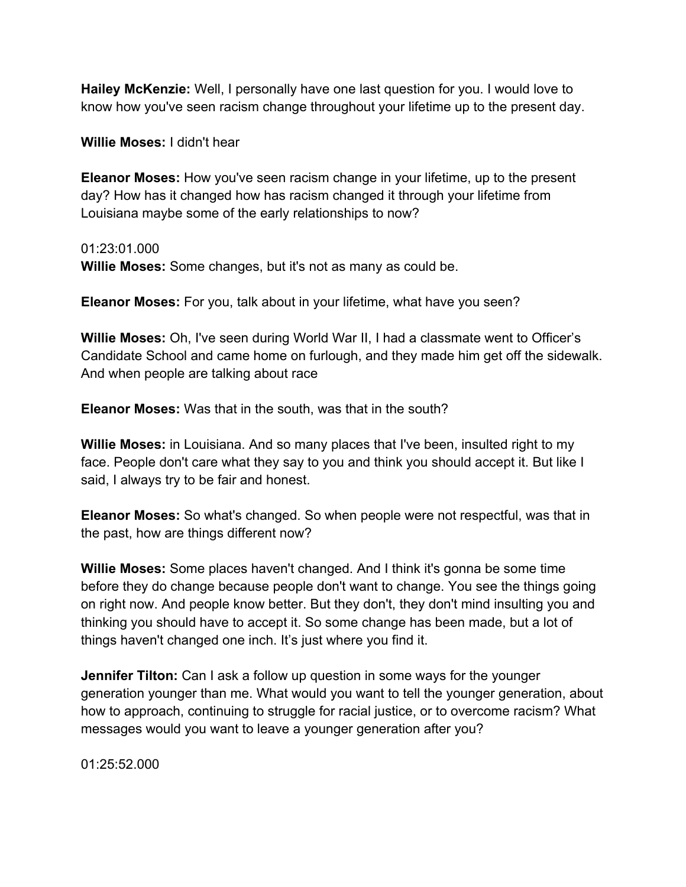**Hailey McKenzie:** Well, I personally have one last question for you. I would love to know how you've seen racism change throughout your lifetime up to the present day.

**Willie Moses:** I didn't hear

**Eleanor Moses:** How you've seen racism change in your lifetime, up to the present day? How has it changed how has racism changed it through your lifetime from Louisiana maybe some of the early relationships to now?

01:23:01.000

**Willie Moses:** Some changes, but it's not as many as could be.

**Eleanor Moses:** For you, talk about in your lifetime, what have you seen?

**Willie Moses:** Oh, I've seen during World War II, I had a classmate went to Officer's Candidate School and came home on furlough, and they made him get off the sidewalk. And when people are talking about race

**Eleanor Moses:** Was that in the south, was that in the south?

**Willie Moses:** in Louisiana. And so many places that I've been, insulted right to my face. People don't care what they say to you and think you should accept it. But like I said, I always try to be fair and honest.

**Eleanor Moses:** So what's changed. So when people were not respectful, was that in the past, how are things different now?

**Willie Moses:** Some places haven't changed. And I think it's gonna be some time before they do change because people don't want to change. You see the things going on right now. And people know better. But they don't, they don't mind insulting you and thinking you should have to accept it. So some change has been made, but a lot of things haven't changed one inch. It's just where you find it.

**Jennifer Tilton:** Can I ask a follow up question in some ways for the younger generation younger than me. What would you want to tell the younger generation, about how to approach, continuing to struggle for racial justice, or to overcome racism? What messages would you want to leave a younger generation after you?

01:25:52.000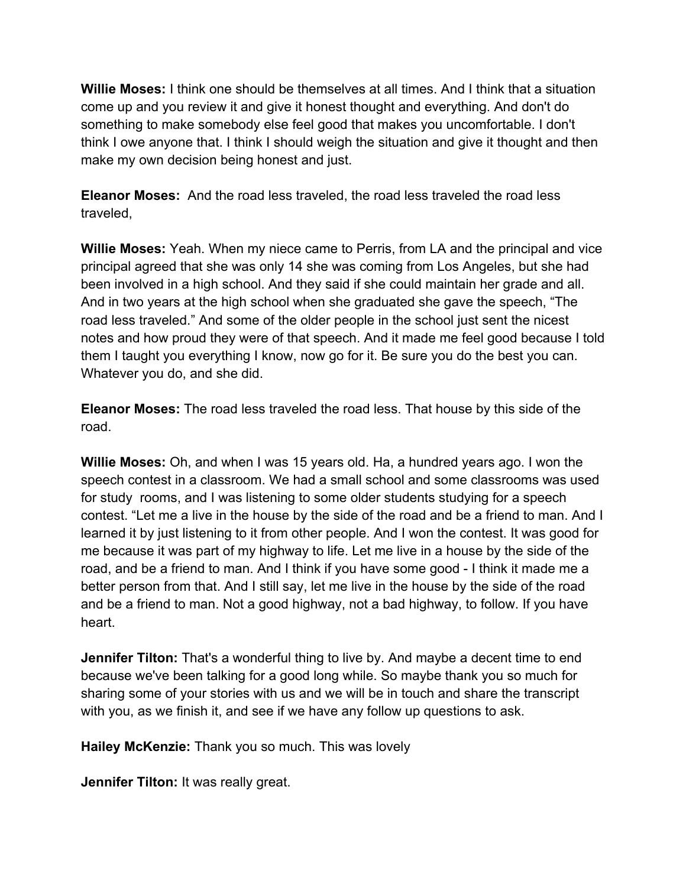**Willie Moses:** I think one should be themselves at all times. And I think that a situation come up and you review it and give it honest thought and everything. And don't do something to make somebody else feel good that makes you uncomfortable. I don't think I owe anyone that. I think I should weigh the situation and give it thought and then make my own decision being honest and just.

**Eleanor Moses:** And the road less traveled, the road less traveled the road less traveled,

**Willie Moses:** Yeah. When my niece came to Perris, from LA and the principal and vice principal agreed that she was only 14 she was coming from Los Angeles, but she had been involved in a high school. And they said if she could maintain her grade and all. And in two years at the high school when she graduated she gave the speech, "The road less traveled." And some of the older people in the school just sent the nicest notes and how proud they were of that speech. And it made me feel good because I told them I taught you everything I know, now go for it. Be sure you do the best you can. Whatever you do, and she did.

**Eleanor Moses:** The road less traveled the road less. That house by this side of the road.

**Willie Moses:** Oh, and when I was 15 years old. Ha, a hundred years ago. I won the speech contest in a classroom. We had a small school and some classrooms was used for study rooms, and I was listening to some older students studying for a speech contest. "Let me a live in the house by the side of the road and be a friend to man. And I learned it by just listening to it from other people. And I won the contest. It was good for me because it was part of my highway to life. Let me live in a house by the side of the road, and be a friend to man. And I think if you have some good - I think it made me a better person from that. And I still say, let me live in the house by the side of the road and be a friend to man. Not a good highway, not a bad highway, to follow. If you have heart.

**Jennifer Tilton:** That's a wonderful thing to live by. And maybe a decent time to end because we've been talking for a good long while. So maybe thank you so much for sharing some of your stories with us and we will be in touch and share the transcript with you, as we finish it, and see if we have any follow up questions to ask.

**Hailey McKenzie:** Thank you so much. This was lovely

**Jennifer Tilton:** It was really great.